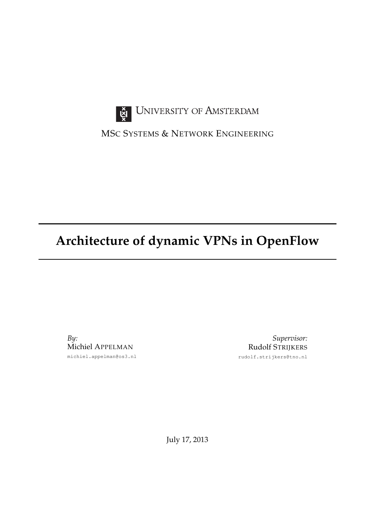

UNIVERSITY OF AMSTERDAM

MSC SYSTEMS & NETWORK ENGINEERING

# **Architecture of dynamic VPNs in OpenFlow**

*By:* Michiel APPELMAN michiel.appelman@os3.nl

*Supervisor:* Rudolf STRIJKERS rudolf.strijkers@tno.nl

July 17, 2013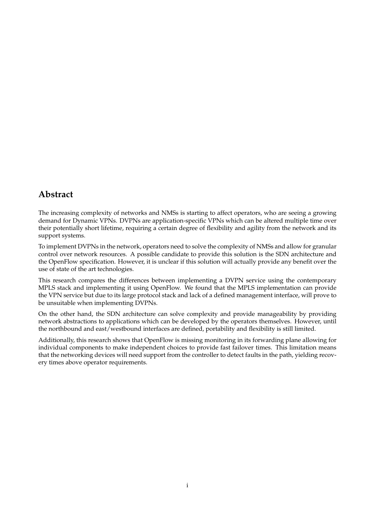## <span id="page-1-0"></span>**Abstract**

The increasing complexity of networks and [NMSs](#page-24-0) is starting to affect operators, who are seeing a growing demand for Dynamic [VPNs](#page-24-1). [DVPNs](#page-24-2) are application-specific [VPNs](#page-24-1) which can be altered multiple time over their potentially short lifetime, requiring a certain degree of flexibility and agility from the network and its support systems.

To implement [DVPNs](#page-24-2) in the network, operators need to solve the complexity of [NMSs](#page-24-0) and allow for granular control over network resources. A possible candidate to provide this solution is the [SDN](#page-24-3) architecture and the OpenFlow specification. However, it is unclear if this solution will actually provide any benefit over the use of state of the art technologies.

This research compares the differences between implementing a [DVPN](#page-24-2) service using the contemporary [MPLS](#page-24-4) stack and implementing it using OpenFlow. We found that the [MPLS](#page-24-4) implementation can provide the [VPN](#page-24-1) service but due to its large protocol stack and lack of a defined management interface, will prove to be unsuitable when implementing [DVPNs](#page-24-2).

On the other hand, the [SDN](#page-24-3) architecture can solve complexity and provide manageability by providing network abstractions to applications which can be developed by the operators themselves. However, until the northbound and east/westbound interfaces are defined, portability and flexibility is still limited.

Additionally, this research shows that OpenFlow is missing monitoring in its forwarding plane allowing for individual components to make independent choices to provide fast failover times. This limitation means that the networking devices will need support from the controller to detect faults in the path, yielding recovery times above operator requirements.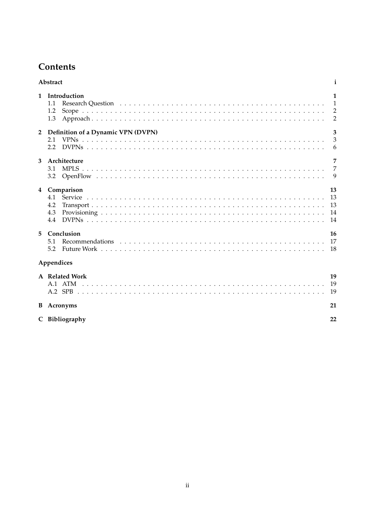## **Contents**

|                | Abstract<br>i                                    |                                                       |  |
|----------------|--------------------------------------------------|-------------------------------------------------------|--|
| $\mathbf{1}$   | Introduction<br>1.1<br>1.2<br>1.3                | $\mathbf{1}$<br>1<br>$\overline{2}$<br>$\overline{2}$ |  |
| $\overline{2}$ | Definition of a Dynamic VPN (DVPN)<br>2.1<br>2.2 | $\overline{\mathbf{3}}$<br>$\overline{3}$<br>6        |  |
| 3              | Architecture<br>3.1<br>3.2                       | $\overline{7}$<br>$\overline{7}$<br>9                 |  |
| $\overline{4}$ | Comparison<br>4.1<br>4.2<br>4.3<br>4.4           | 13<br>13<br>13<br>-14                                 |  |
| 5.             | Conclusion<br>5.1<br>5.2                         | 16                                                    |  |
|                | Appendices                                       |                                                       |  |
|                | A Related Work                                   | 19<br>19<br>19                                        |  |
|                | <b>B</b> Acronyms                                | 21                                                    |  |
|                | C Bibliography                                   | 22                                                    |  |

C Bibliography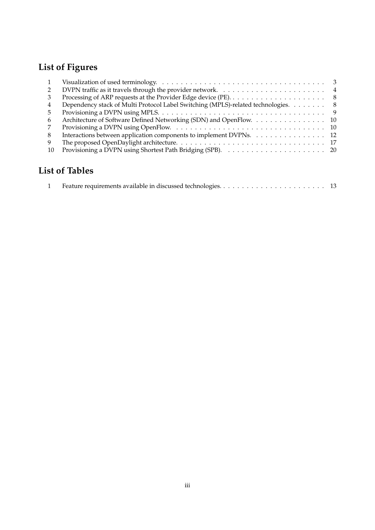# **List of Figures**

|               | Visualization of used terminology. $\ldots \ldots \ldots \ldots \ldots \ldots \ldots \ldots \ldots \ldots \ldots \ldots$ |  |
|---------------|--------------------------------------------------------------------------------------------------------------------------|--|
|               | DVPN traffic as it travels through the provider network. $\dots \dots \dots \dots \dots \dots \dots \dots$               |  |
|               |                                                                                                                          |  |
| 4             | Dependency stack of Multi Protocol Label Switching (MPLS)-related technologies. 8                                        |  |
| $\mathcal{D}$ |                                                                                                                          |  |
| 6             | Architecture of Software Defined Networking (SDN) and OpenFlow. 10                                                       |  |
|               |                                                                                                                          |  |
| 8             | Interactions between application components to implement DVPNs. 12                                                       |  |
| 9             |                                                                                                                          |  |
| 10            |                                                                                                                          |  |
|               |                                                                                                                          |  |

## **List of Tables**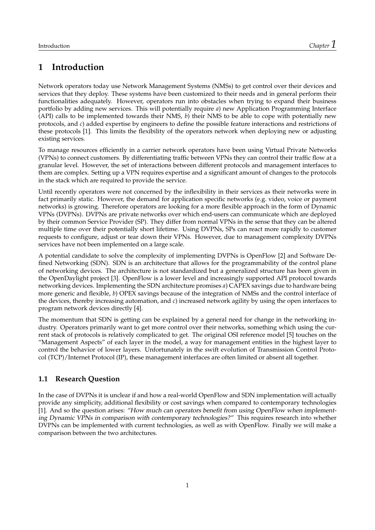## <span id="page-4-0"></span>**1 Introduction**

Network operators today use Network Management Systems [\(NMSs](#page-24-0)) to get control over their devices and services that they deploy. These systems have been customized to their needs and in general perform their functionalities adequately. However, operators run into obstacles when trying to expand their business portfolio by adding new services. This will potentially require *a*) new Application Programming Interface [\(API\)](#page-24-10) calls to be implemented towards their [NMS,](#page-24-0) *b*) their [NMS](#page-24-0) to be able to cope with potentially new protocols, and *c*) added expertise by engineers to define the possible feature interactions and restrictions of these protocols [\[1\]](#page-25-1). This limits the flexibility of the operators network when deploying new or adjusting existing services.

To manage resources efficiently in a carrier network operators have been using Virtual Private Networks [\(VPNs](#page-24-1)) to connect customers. By differentiating traffic between [VPNs](#page-24-1) they can control their traffic flow at a granular level. However, the set of interactions between different protocols and management interfaces to them are complex. Setting up a [VPN](#page-24-1) requires expertise and a significant amount of changes to the protocols in the stack which are required to provide the service.

Until recently operators were not concerned by the inflexibility in their services as their networks were in fact primarily static. However, the demand for application specific networks (e.g. video, voice or payment networks) is growing. Therefore operators are looking for a more flexible approach in the form of Dynamic [VPNs](#page-24-1) [\(DVPNs](#page-24-2)). [DVPNs](#page-24-2) are private networks over which end-users can communicate which are deployed by their common Service Provider [\(SP\)](#page-24-11). They differ from normal [VPNs](#page-24-1) in the sense that they can be altered multiple time over their potentially short lifetime. Using [DVPNs](#page-24-2), [SPs](#page-24-11) can react more rapidly to customer requests to configure, adjust or tear down their [VPNs](#page-24-1). However, due to management complexity [DVPNs](#page-24-2) services have not been implemented on a large scale.

A potential candidate to solve the complexity of implementing [DVPNs](#page-24-2) is OpenFlow [\[2\]](#page-25-2) and Software Defined Networking [\(SDN\)](#page-24-3). [SDN](#page-24-3) is an architecture that allows for the programmability of the control plane of networking devices. The architecture is not standardized but a generalized structure has been given in the OpenDaylight project [\[3\]](#page-25-3). OpenFlow is a lower level and increasingly supported [API](#page-24-10) protocol towards networking devices. Implementing the [SDN](#page-24-3) architecture promises *a*) CAPEX savings due to hardware being more generic and flexible, *b*) OPEX savings because of the integration of [NMSs](#page-24-0) and the control interface of the devices, thereby increasing automation, and *c*) increased network agility by using the open interfaces to program network devices directly [\[4\]](#page-25-4).

The momentum that [SDN](#page-24-3) is getting can be explained by a general need for change in the networking industry. Operators primarily want to get more control over their networks, something which using the current stack of protocols is relatively complicated to get. The original [OSI](#page-24-12) reference model [\[5\]](#page-25-5) touches on the "Management Aspects" of each layer in the model, a way for management entities in the highest layer to control the behavior of lower layers. Unfortunately in the swift evolution of Transmission Control Protocol [\(TCP\)](#page-24-13)/Internet Protocol [\(IP\)](#page-24-14), these management interfaces are often limited or absent all together.

#### <span id="page-4-1"></span>**1.1 Research Question**

In the case of [DVPNs](#page-24-2) it is unclear if and how a real-world OpenFlow and [SDN](#page-24-3) implementation will actually provide any simplicity, additional flexibility or cost savings when compared to contemporary technologies [\[1\]](#page-25-1). And so the question arises: "How much can operators benefit from using OpenFlow when implementing Dynamic [VPNs](#page-24-1) in comparison with contemporary technologies?" This requires research into whether [DVPNs](#page-24-2) can be implemented with current technologies, as well as with OpenFlow. Finally we will make a comparison between the two architectures.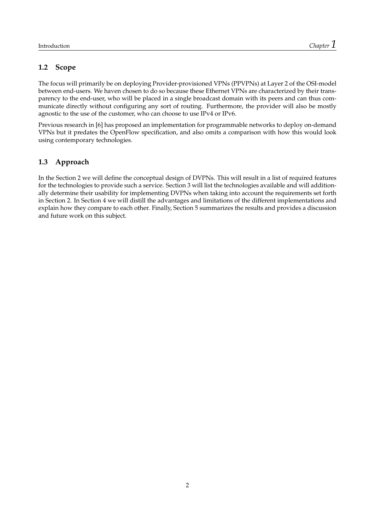#### <span id="page-5-0"></span>**1.2 Scope**

The focus will primarily be on deploying Provider-provisioned [VPNs](#page-24-1) [\(PPVPNs](#page-24-15)) at Layer 2 of the [OSI-](#page-24-12)model between end-users. We haven chosen to do so because these Ethernet [VPNs](#page-24-1) are characterized by their transparency to the end-user, who will be placed in a single broadcast domain with its peers and can thus communicate directly without configuring any sort of routing. Furthermore, the provider will also be mostly agnostic to the use of the customer, who can choose to use [IPv](#page-24-14)4 or [IPv](#page-24-14)6.

Previous research in [\[6\]](#page-25-6) has proposed an implementation for programmable networks to deploy on-demand [VPNs](#page-24-1) but it predates the OpenFlow specification, and also omits a comparison with how this would look using contemporary technologies.

#### <span id="page-5-1"></span>**1.3 Approach**

In the Section [2](#page-6-0) we will define the conceptual design of [DVPNs](#page-24-2). This will result in a list of required features for the technologies to provide such a service. Section [3](#page-10-0) will list the technologies available and will additionally determine their usability for implementing [DVPNs](#page-24-2) when taking into account the requirements set forth in Section [2.](#page-6-0) In Section [4](#page-16-0) we will distill the advantages and limitations of the different implementations and explain how they compare to each other. Finally, Section [5](#page-19-0) summarizes the results and provides a discussion and future work on this subject.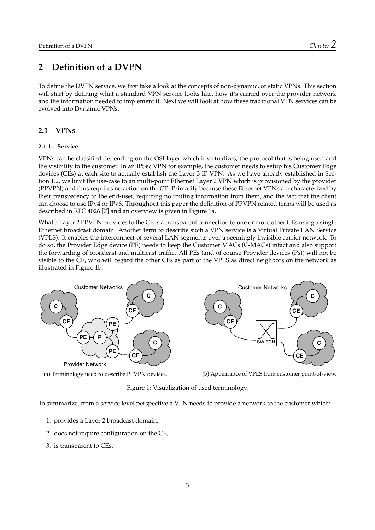### <span id="page-6-0"></span>**2 Definition of a [DVPN](#page-24-2)**

To define the [DVPN](#page-24-2) service, we first take a look at the concepts of non-dynamic, or static [VPNs](#page-24-1). This section will start by defining what a standard [VPN](#page-24-1) service looks like, how it's carried over the provider network and the information needed to implement it. Next we will look at how these traditional [VPN](#page-24-1) services can be evolved into Dynamic [VPNs](#page-24-1).

#### <span id="page-6-1"></span>**2.1 [VPNs](#page-24-1)**

#### **2.1.1 Service**

[VPNs](#page-24-1) can be classified depending on the [OSI](#page-24-12) layer which it virtualizes, the protocol that is being used and the visibility to the customer. In an IPSec [VPN](#page-24-1) for example, the customer needs to setup his Customer Edge devices [\(CEs](#page-24-16)) at each site to actually establish the Layer 3 [IP](#page-24-14) [VPN.](#page-24-1) As we have already established in Section [1.2,](#page-5-0) we limit the use-case to an multi-point Ethernet Layer 2 [VPN](#page-24-1) which is provisioned by the provider [\(PPVPN\)](#page-24-15) and thus requires no action on the [CE.](#page-24-16) Primarily because these Ethernet [VPNs](#page-24-1) are characterized by their transparency to the end-user, requiring no routing information from them, and the fact that the client can choose to use [IPv](#page-24-14)4 or [IPv](#page-24-14)6. Throughout this paper the definition of [PPVPN](#page-24-15) related terms will be used as described in RFC 4026 [\[7\]](#page-25-7) and an overview is given in Figure [1a.](#page-6-2)

What a Layer 2 [PPVPN](#page-24-15) provides to the [CE](#page-24-16) is a transparent connection to one or more other [CEs](#page-24-16) using a single Ethernet broadcast domain. Another term to describe such a [VPN](#page-24-1) service is a Virtual Private [LAN](#page-24-17) Service [\(VPLS\)](#page-24-18). It enables the interconnect of several [LAN](#page-24-17) segments over a seemingly invisible carrier network. To do so, the Provider Edge device [\(PE\)](#page-24-9) needs to keep the Customer [MACs](#page-24-19) [\(C-MACs](#page-24-20)) intact and also support the forwarding of broadcast and multicast traffic. All [PEs](#page-24-9) (and of course Provider devices [\(Ps](#page-24-21))) will not be visible to the [CE,](#page-24-16) who will regard the other [CEs](#page-24-16) as part of the [VPLS](#page-24-18) as direct neighbors on the network as illustrated in Figure [1b.](#page-6-2)

<span id="page-6-2"></span>



(a) Terminology used to describe [PPVPN](#page-24-15) devices.

(b) Appearance of [VPLS](#page-24-18) from customer point-of-view.

Figure 1: Visualization of used terminology.

To summarize, from a service level perspective a [VPN](#page-24-1) needs to provide a network to the customer which:

- 1. provides a Layer 2 broadcast domain,
- 2. does not require configuration on the [CE,](#page-24-16)
- 3. is transparent to [CEs](#page-24-16).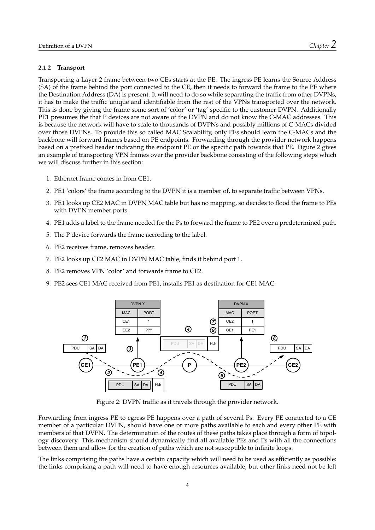#### **2.1.2 Transport**

Transporting a Layer 2 frame between two [CEs](#page-24-16) starts at the [PE.](#page-24-9) The ingress [PE](#page-24-9) learns the Source Address [\(SA\)](#page-24-22) of the frame behind the port connected to the [CE,](#page-24-16) then it needs to forward the frame to the [PE](#page-24-9) where the Destination Address [\(DA\)](#page-24-23) is present. It will need to do so while separating the traffic from other [DVPNs](#page-24-2), it has to make the traffic unique and identifiable from the rest of the [VPNs](#page-24-1) transported over the network. This is done by giving the frame some sort of 'color' or 'tag' specific to the customer [DVPN.](#page-24-2) Additionally [PE1](#page-24-9) presumes the that [P](#page-24-21) devices are not aware of the [DVPN](#page-24-2) and do not know the [C-MAC](#page-24-20) addresses. This is because the network will have to scale to thousands of [DVPNs](#page-24-2) and possibly millions of [C-MACs](#page-24-20) divided over those [DVPNs](#page-24-2). To provide this so called [MAC](#page-24-19) Scalability, only [PEs](#page-24-9) should learn the [C-MACs](#page-24-20) and the backbone will forward frames based on [PE](#page-24-9) endpoints. Forwarding through the provider network happens based on a prefixed header indicating the endpoint [PE](#page-24-9) or the specific path towards that [PE.](#page-24-9) Figure [2](#page-7-0) gives an example of transporting [VPN](#page-24-1) frames over the provider backbone consisting of the following steps which we will discuss further in this section:

- 1. Ethernet frame comes in from CE1.
- 2. PE1 'colors' the frame according to the DVPN it is a member of, to separate traffic between [VPNs](#page-24-1).
- 3. PE1 looks up CE2 MAC in DVPN MAC table but has no mapping, so decides to flood the frame to [PEs](#page-24-9) with DVPN member ports.
- 4. PE1 adds a label to the frame needed for the Ps to forward the frame to PE2 over a predetermined path.
- 5. The P device forwards the frame according to the label.
- 6. PE2 receives frame, removes header.
- 7. PE2 looks up CE2 MAC in DVPN MAC table, finds it behind port 1.
- 8. PE2 removes VPN 'color' and forwards frame to CE2.
- <span id="page-7-0"></span>9. PE2 sees CE1 MAC received from PE1, installs PE1 as destination for CE1 MAC.



Figure 2: [DVPN](#page-24-2) traffic as it travels through the provider network.

Forwarding from ingress [PE](#page-24-9) to egress [PE](#page-24-9) happens over a path of several [Ps](#page-24-21). Every [PE](#page-24-9) connected to a [CE](#page-24-16) member of a particular [DVPN,](#page-24-2) should have one or more paths available to each and every other [PE](#page-24-9) with members of that [DVPN.](#page-24-2) The determination of the routes of these paths takes place through a form of topology discovery. This mechanism should dynamically find all available [PEs](#page-24-9) and [Ps](#page-24-21) with all the connections between them and allow for the creation of paths which are not susceptible to infinite loops.

The links comprising the paths have a certain capacity which will need to be used as efficiently as possible: the links comprising a path will need to have enough resources available, but other links need not be left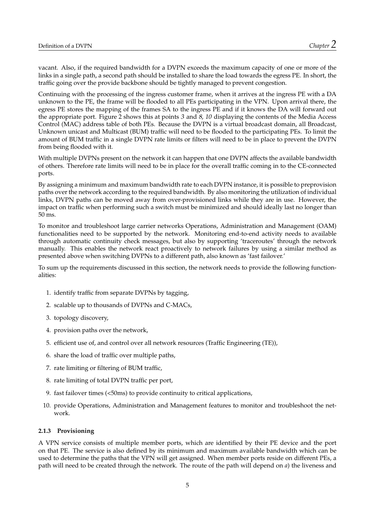vacant. Also, if the required bandwidth for a [DVPN](#page-24-2) exceeds the maximum capacity of one or more of the links in a single path, a second path should be installed to share the load towards the egress [PE.](#page-24-9) In short, the traffic going over the provide backbone should be tightly managed to prevent congestion.

Continuing with the processing of the ingress customer frame, when it arrives at the ingress [PE](#page-24-9) with a [DA](#page-24-23) unknown to the [PE,](#page-24-9) the frame will be flooded to all [PEs](#page-24-9) participating in the [VPN.](#page-24-1) Upon arrival there, the egress [PE](#page-24-9) stores the mapping of the frames [SA](#page-24-22) to the ingress [PE](#page-24-9) and if it knows the [DA](#page-24-23) will forward out the appropriate port. Figure [2](#page-7-0) shows this at points  $3$  and  $8$ ,  $10$  displaying the contents of the Media Access Control [\(MAC\)](#page-24-19) address table of both [PEs](#page-24-9). Because the [DVPN](#page-24-2) is a virtual broadcast domain, all Broadcast, Unknown unicast and Multicast [\(BUM\)](#page-24-24) traffic will need to be flooded to the participating [PEs](#page-24-9). To limit the amount of [BUM](#page-24-24) traffic in a single [DVPN](#page-24-2) rate limits or filters will need to be in place to prevent the [DVPN](#page-24-2) from being flooded with it.

With multiple [DVPNs](#page-24-2) present on the network it can happen that one [DVPN](#page-24-2) affects the available bandwidth of others. Therefore rate limits will need to be in place for the overall traffic coming in to the [CE-](#page-24-16)connected ports.

By assigning a minimum and maximum bandwidth rate to each [DVPN](#page-24-2) instance, it is possible to preprovision paths over the network according to the required bandwidth. By also monitoring the utilization of individual links, [DVPN](#page-24-2) paths can be moved away from over-provisioned links while they are in use. However, the impact on traffic when performing such a switch must be minimized and should ideally last no longer than 50 ms.

To monitor and troubleshoot large carrier networks Operations, Administration and Management [\(OAM\)](#page-24-25) functionalities need to be supported by the network. Monitoring end-to-end activity needs to available through automatic continuity check messages, but also by supporting 'traceroutes' through the network manually. This enables the network react proactively to network failures by using a similar method as presented above when switching [DVPNs](#page-24-2) to a different path, also known as 'fast failover.'

To sum up the requirements discussed in this section, the network needs to provide the following functionalities:

- 1. identify traffic from separate [DVPNs](#page-24-2) by tagging,
- 2. scalable up to thousands of [DVPNs](#page-24-2) and [C-MACs](#page-24-20),
- 3. topology discovery,
- 4. provision paths over the network,
- 5. efficient use of, and control over all network resources (Traffic Engineering [\(TE\)](#page-24-26)),
- 6. share the load of traffic over multiple paths,
- 7. rate limiting or filtering of [BUM](#page-24-24) traffic,
- 8. rate limiting of total [DVPN](#page-24-2) traffic per port,
- 9. fast failover times (<50ms) to provide continuity to critical applications,
- 10. provide Operations, Administration and Management features to monitor and troubleshoot the network.

#### <span id="page-8-0"></span>**2.1.3 Provisioning**

A [VPN](#page-24-1) service consists of multiple member ports, which are identified by their [PE](#page-24-9) device and the port on that [PE.](#page-24-9) The service is also defined by its minimum and maximum available bandwidth which can be used to determine the paths that the [VPN](#page-24-1) will get assigned. When member ports reside on different [PEs](#page-24-9), a path will need to be created through the network. The route of the path will depend on *a*) the liveness and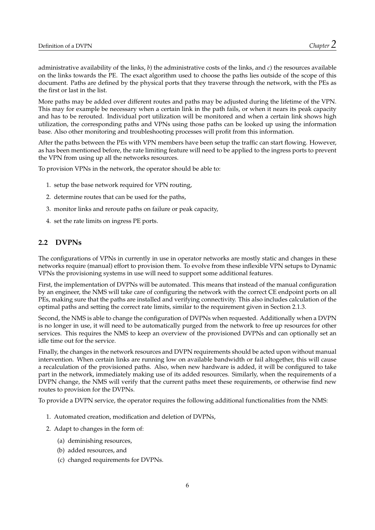administrative availability of the links, *b*) the administrative costs of the links, and *c*) the resources available on the links towards the [PE.](#page-24-9) The exact algorithm used to choose the paths lies outside of the scope of this document. Paths are defined by the physical ports that they traverse through the network, with the [PEs](#page-24-9) as the first or last in the list.

More paths may be added over different routes and paths may be adjusted during the lifetime of the [VPN.](#page-24-1) This may for example be necessary when a certain link in the path fails, or when it nears its peak capacity and has to be rerouted. Individual port utilization will be monitored and when a certain link shows high utilization, the corresponding paths and [VPNs](#page-24-1) using those paths can be looked up using the information base. Also other monitoring and troubleshooting processes will profit from this information.

After the paths between the [PEs](#page-24-9) with [VPN](#page-24-1) members have been setup the traffic can start flowing. However, as has been mentioned before, the rate limiting feature will need to be applied to the ingress ports to prevent the [VPN](#page-24-1) from using up all the networks resources.

To provision [VPNs](#page-24-1) in the network, the operator should be able to:

- 1. setup the base network required for [VPN](#page-24-1) routing,
- 2. determine routes that can be used for the paths,
- 3. monitor links and reroute paths on failure or peak capacity,
- 4. set the rate limits on ingress [PE](#page-24-9) ports.

#### <span id="page-9-0"></span>**2.2 [DVPNs](#page-24-2)**

The configurations of [VPNs](#page-24-1) in currently in use in operator networks are mostly static and changes in these networks require (manual) effort to provision them. To evolve from these inflexible [VPN](#page-24-1) setups to Dynamic [VPNs](#page-24-1) the provisioning systems in use will need to support some additional features.

First, the implementation of [DVPNs](#page-24-2) will be automated. This means that instead of the manual configuration by an engineer, the [NMS](#page-24-0) will take care of configuring the network with the correct [CE](#page-24-16) endpoint ports on all [PEs](#page-24-9), making sure that the paths are installed and verifying connectivity. This also includes calculation of the optimal paths and setting the correct rate limits, similar to the requirement given in Section [2.1.3.](#page-8-0)

Second, the [NMS](#page-24-0) is able to change the configuration of [DVPNs](#page-24-2) when requested. Additionally when a [DVPN](#page-24-2) is no longer in use, it will need to be automatically purged from the network to free up resources for other services. This requires the [NMS](#page-24-0) to keep an overview of the provisioned [DVPNs](#page-24-2) and can optionally set an idle time out for the service.

Finally, the changes in the network resources and [DVPN](#page-24-2) requirements should be acted upon without manual intervention. When certain links are running low on available bandwidth or fail altogether, this will cause a recalculation of the provisioned paths. Also, when new hardware is added, it will be configured to take part in the network, immediately making use of its added resources. Similarly, when the requirements of a [DVPN](#page-24-2) change, the [NMS](#page-24-0) will verify that the current paths meet these requirements, or otherwise find new routes to provision for the [DVPNs](#page-24-2).

To provide a [DVPN](#page-24-2) service, the operator requires the following additional functionalities from the [NMS:](#page-24-0)

- 1. Automated creation, modification and deletion of [DVPNs](#page-24-2),
- 2. Adapt to changes in the form of:
	- (a) deminishing resources,
	- (b) added resources, and
	- (c) changed requirements for [DVPNs](#page-24-2).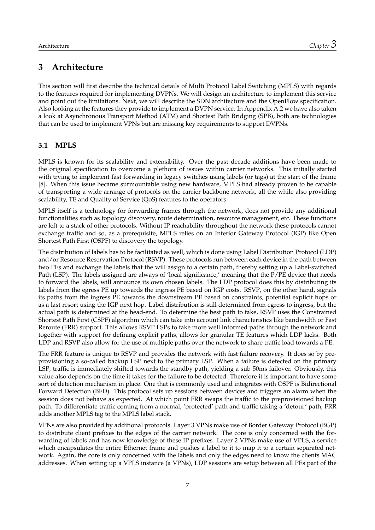## <span id="page-10-0"></span>**3 Architecture**

This section will first describe the technical details of Multi Protocol Label Switching [\(MPLS\)](#page-24-4) with regards to the features required for implementing [DVPNs](#page-24-2). We will design an architecture to implement this service and point out the limitations. Next, we will describe the [SDN](#page-24-3) architecture and the OpenFlow specification. Also looking at the features they provide to implement a [DVPN](#page-24-2) service. In Appendix [A.2](#page-22-2) we have also taken a look at Asynchronous Transport Method [\(ATM\)](#page-24-5) and Shortest Path Bridging [\(SPB\)](#page-24-6), both are technologies that can be used to implement [VPNs](#page-24-1) but are missing key requirements to support [DVPNs](#page-24-2).

#### <span id="page-10-1"></span>**3.1 [MPLS](#page-24-4)**

[MPLS](#page-24-4) is known for its scalability and extensibility. Over the past decade additions have been made to the original specification to overcome a plethora of issues within carrier networks. This initially started with trying to implement fast forwarding in legacy switches using labels (or tags) at the start of the frame [\[8\]](#page-25-8). When this issue became surmountable using new hardware, [MPLS](#page-24-4) had already proven to be capable of transporting a wide arrange of protocols on the carrier backbone network, all the while also providing scalability, [TE](#page-24-26) and Quality of Service [\(QoS\)](#page-24-27) features to the operators.

[MPLS](#page-24-4) itself is a technology for forwarding frames through the network, does not provide any additional functionalities such as topology discovery, route determination, resource management, etc. These functions are left to a stack of other protocols. Without [IP](#page-24-14) reachability throughout the network these protocols cannot exchange traffic and so, as a prerequisite, [MPLS](#page-24-4) relies on an Interior Gateway Protocol [\(IGP\)](#page-24-28) like Open Shortest Path First [\(OSPF\)](#page-24-29) to discovery the topology.

The distribution of labels has to be facilitated as well, which is done using Label Distribution Protocol [\(LDP\)](#page-24-30) and/or Resource Reservation Protocol [\(RSVP\)](#page-24-31). These protocols run between each device in the path between two [PEs](#page-24-9) and exchange the labels that the will assign to a certain path, thereby setting up a Label-switched Path [\(LSP\)](#page-24-32). The labels assigned are always of 'local significance,' meaning that the [P](#page-24-21)[/PE](#page-24-9) device that needs to forward the labels, will announce its own chosen labels. The [LDP](#page-24-30) protocol does this by distributing its labels from the egress [PE](#page-24-9) up towards the ingress [PE](#page-24-9) based on [IGP](#page-24-28) costs. [RSVP,](#page-24-31) on the other hand, signals its paths from the ingress [PE](#page-24-9) towards the downstream [PE](#page-24-9) based on constraints, potential explicit hops or as a last resort using the [IGP](#page-24-28) next hop. Label distribution is still determined from egress to ingress, but the actual path is determined at the head-end. To determine the best path to take, [RSVP](#page-24-31) uses the Constrained Shortest Path First [\(CSPF\)](#page-24-33) algorithm which can take into account link characteristics like bandwidth or Fast Reroute [\(FRR\)](#page-24-34) support. This allows [RSVP](#page-24-31) [LSPs](#page-24-32) to take more well informed paths through the network and together with support for defining explicit paths, allows for granular [TE](#page-24-26) features which [LDP](#page-24-30) lacks. Both [LDP](#page-24-30) and [RSVP](#page-24-31) also allow for the use of multiple paths over the network to share traffic load towards a [PE.](#page-24-9)

The [FRR](#page-24-34) feature is unique to [RSVP](#page-24-31) and provides the network with fast failure recovery. It does so by preprovisioning a so-called backup [LSP](#page-24-32) next to the primary [LSP.](#page-24-32) When a failure is detected on the primary [LSP,](#page-24-32) traffic is immediately shifted towards the standby path, yielding a sub-50ms failover. Obviously, this value also depends on the time it takes for the failure to be detected. Therefore it is important to have some sort of detection mechanism in place. One that is commonly used and integrates with [OSPF](#page-24-29) is Bidirectional Forward Detection [\(BFD\)](#page-24-35). This protocol sets up sessions between devices and triggers an alarm when the session does not behave as expected. At which point [FRR](#page-24-34) swaps the traffic to the preprovisioned backup path. To differentiate traffic coming from a normal, 'protected' path and traffic taking a 'detour' path, [FRR](#page-24-34) adds another [MPLS](#page-24-4) tag to the [MPLS](#page-24-4) label stack.

[VPNs](#page-24-1) are also provided by additional protocols. Layer 3 [VPNs](#page-24-1) make use of Border Gateway Protocol [\(BGP\)](#page-24-36) to distribute client prefixes to the edges of the carrier network. The core is only concerned with the forwarding of labels and has now knowledge of these [IP](#page-24-14) prefixes. Layer 2 [VPNs](#page-24-1) make use of [VPLS,](#page-24-18) a service which encapsulates the entire Ethernet frame and pushes a label to it to map it to a certain separated network. Again, the core is only concerned with the labels and only the edges need to know the clients [MAC](#page-24-19) addresses. When setting up a [VPLS](#page-24-18) instance (a [VPNs](#page-24-1)), [LDP](#page-24-30) sessions are setup between all [PEs](#page-24-9) part of the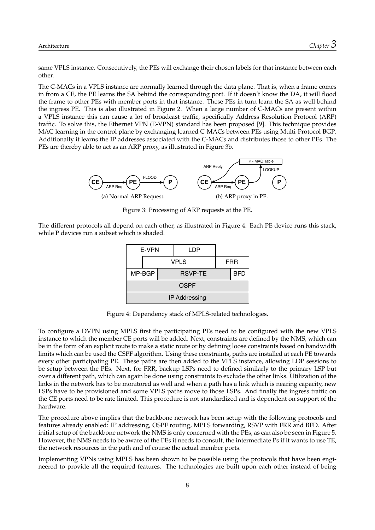same [VPLS](#page-24-18) instance. Consecutively, the [PEs](#page-24-9) will exchange their chosen labels for that instance between each other.

The [C-MACs](#page-24-20) in a [VPLS](#page-24-18) instance are normally learned through the data plane. That is, when a frame comes in from a [CE,](#page-24-16) the [PE](#page-24-9) learns the [SA](#page-24-22) behind the corresponding port. If it doesn't know the [DA,](#page-24-23) it will flood the frame to other [PEs](#page-24-9) with member ports in that instance. These [PEs](#page-24-9) in turn learn the [SA](#page-24-22) as well behind the ingress [PE.](#page-24-9) This is also illustrated in Figure [2.](#page-7-0) When a large number of [C-MACs](#page-24-20) are present within a [VPLS](#page-24-18) instance this can cause a lot of broadcast traffic, specifically Address Resolution Protocol [\(ARP\)](#page-24-8) traffic. To solve this, the Ethernet [VPN](#page-24-1) [\(E-VPN\)](#page-24-37) standard has been proposed [\[9\]](#page-25-9). This technique provides [MAC](#page-24-19) learning in the control plane by exchanging learned [C-MACs](#page-24-20) between [PEs](#page-24-9) using Multi-Protocol [BGP.](#page-24-36) Additionally it learns the [IP](#page-24-14) addresses associated with the [C-MACs](#page-24-20) and distributes those to other [PEs](#page-24-9). The [PEs](#page-24-9) are thereby able to act as an [ARP](#page-24-8) proxy, as illustrated in Figure [3b.](#page-11-0)

<span id="page-11-0"></span>

Figure 3: Processing of [ARP](#page-24-8) requests at the [PE.](#page-24-9)

<span id="page-11-1"></span>The different protocols all depend on each other, as illustrated in Figure [4.](#page-11-1) Each [PE](#page-24-9) device runs this stack, while [P](#page-24-21) devices run a subset which is shaded.

| E-VPN                |  |  | LDP            |  |     |
|----------------------|--|--|----------------|--|-----|
|                      |  |  | <b>VPLS</b>    |  | FRR |
| MP-BGP               |  |  | <b>RSVP-TE</b> |  | BFD |
| <b>OSPF</b>          |  |  |                |  |     |
| <b>IP Addressing</b> |  |  |                |  |     |

Figure 4: Dependency stack of [MPLS-](#page-24-4)related technologies.

To configure a [DVPN](#page-24-2) using [MPLS](#page-24-4) first the participating [PEs](#page-24-9) need to be configured with the new [VPLS](#page-24-18) instance to which the member [CE](#page-24-16) ports will be added. Next, constraints are defined by the [NMS,](#page-24-0) which can be in the form of an explicit route to make a static route or by defining loose constraints based on bandwidth limits which can be used the [CSPF](#page-24-33) algorithm. Using these constraints, paths are installed at each [PE](#page-24-9) towards every other participating [PE.](#page-24-9) These paths are then added to the [VPLS](#page-24-18) instance, allowing [LDP](#page-24-30) sessions to be setup between the [PEs](#page-24-9). Next, for [FRR,](#page-24-34) backup [LSPs](#page-24-32) need to defined similarly to the primary [LSP](#page-24-32) but over a different path, which can again be done using constraints to exclude the other links. Utilization of the links in the network has to be monitored as well and when a path has a link which is nearing capacity, new [LSPs](#page-24-32) have to be provisioned and some [VPLS](#page-24-18) paths move to those [LSPs](#page-24-32). And finally the ingress traffic on the [CE](#page-24-16) ports need to be rate limited. This procedure is not standardized and is dependent on support of the hardware.

The procedure above implies that the backbone network has been setup with the following protocols and features already enabled: [IP](#page-24-14) addressing, [OSPF](#page-24-29) routing, [MPLS](#page-24-4) forwarding, [RSVP](#page-24-31) with [FRR](#page-24-34) and [BFD.](#page-24-35) After initial setup of the backbone network the [NMS](#page-24-0) is only concerned with the [PEs](#page-24-9), as can also be seen in Figure [5.](#page-12-1) However, the [NMS](#page-24-0) needs to be aware of the [PEs](#page-24-9) it needs to consult, the intermediate [Ps](#page-24-21) if it wants to use [TE,](#page-24-26) the network resources in the path and of course the actual member ports.

Implementing [VPNs](#page-24-1) using [MPLS](#page-24-4) has been shown to be possible using the protocols that have been engineered to provide all the required features. The technologies are built upon each other instead of being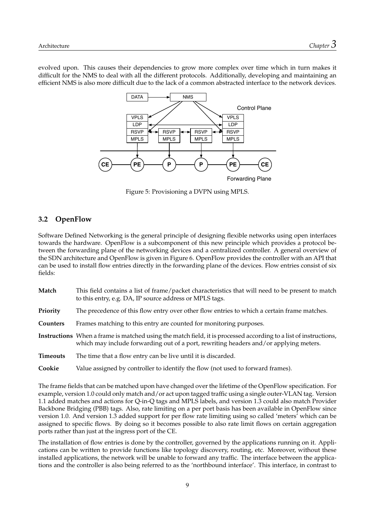<span id="page-12-1"></span>evolved upon. This causes their dependencies to grow more complex over time which in turn makes it difficult for the [NMS](#page-24-0) to deal with all the different protocols. Additionally, developing and maintaining an efficient [NMS](#page-24-0) is also more difficult due to the lack of a common abstracted interface to the network devices.



Figure 5: Provisioning a [DVPN](#page-24-2) using [MPLS.](#page-24-4)

#### <span id="page-12-0"></span>**3.2 OpenFlow**

Software Defined Networking is the general principle of designing flexible networks using open interfaces towards the hardware. OpenFlow is a subcomponent of this new principle which provides a protocol between the forwarding plane of the networking devices and a centralized controller. A general overview of the [SDN](#page-24-3) architecture and OpenFlow is given in Figure [6.](#page-13-0) OpenFlow provides the controller with an [API](#page-24-10) that can be used to install flow entries directly in the forwarding plane of the devices. Flow entries consist of six fields:

| Match           | This field contains a list of frame/packet characteristics that will need to be present to match<br>to this entry, e.g. DA, IP source address or MPLS tags.                                               |
|-----------------|-----------------------------------------------------------------------------------------------------------------------------------------------------------------------------------------------------------|
| Priority        | The precedence of this flow entry over other flow entries to which a certain frame matches.                                                                                                               |
| Counters        | Frames matching to this entry are counted for monitoring purposes.                                                                                                                                        |
|                 | Instructions When a frame is matched using the match field, it is processed according to a list of instructions,<br>which may include forwarding out of a port, rewriting headers and/or applying meters. |
| <b>Timeouts</b> | The time that a flow entry can be live until it is discarded.                                                                                                                                             |
| Cookie          | Value assigned by controller to identify the flow (not used to forward frames).                                                                                                                           |

The frame fields that can be matched upon have changed over the lifetime of the OpenFlow specification. For example, version 1.0 could only match and/or act upon tagged traffic using a single outer[-VLAN](#page-24-38) tag. Version 1.1 added matches and actions for Q-in-Q tags and [MPLS](#page-24-4) labels, and version 1.3 could also match Provider Backbone Bridging [\(PBB\)](#page-24-39) tags. Also, rate limiting on a per port basis has been available in OpenFlow since version 1.0. And version 1.3 added support for per flow rate limiting using so called 'meters' which can be assigned to specific flows. By doing so it becomes possible to also rate limit flows on certain aggregation ports rather than just at the ingress port of the [CE.](#page-24-16)

The installation of flow entries is done by the controller, governed by the applications running on it. Applications can be written to provide functions like topology discovery, routing, etc. Moreover, without these installed applications, the network will be unable to forward any traffic. The interface between the applications and the controller is also being referred to as the 'northbound interface'. This interface, in contrast to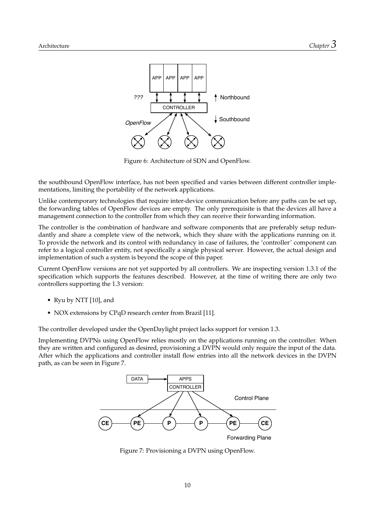<span id="page-13-0"></span>

Figure 6: Architecture of [SDN](#page-24-3) and OpenFlow.

the southbound OpenFlow interface, has not been specified and varies between different controller implementations, limiting the portability of the network applications.

Unlike contemporary technologies that require inter-device communication before any paths can be set up, the forwarding tables of OpenFlow devices are empty. The only prerequisite is that the devices all have a management connection to the controller from which they can receive their forwarding information.

The controller is the combination of hardware and software components that are preferably setup redundantly and share a complete view of the network, which they share with the applications running on it. To provide the network and its control with redundancy in case of failures, the 'controller' component can refer to a logical controller entity, not specifically a single physical server. However, the actual design and implementation of such a system is beyond the scope of this paper.

Current OpenFlow versions are not yet supported by all controllers. We are inspecting version 1.3.1 of the specification which supports the features described. However, at the time of writing there are only two controllers supporting the 1.3 version:

- Ryu by NTT [\[10\]](#page-25-10), and
- NOX extensions by CPqD research center from Brazil [\[11\]](#page-25-11).

The controller developed under the OpenDaylight project lacks support for version 1.3.

<span id="page-13-1"></span>Implementing [DVPNs](#page-24-2) using OpenFlow relies mostly on the applications running on the controller. When they are written and configured as desired, provisioning a [DVPN](#page-24-2) would only require the input of the data. After which the applications and controller install flow entries into all the network devices in the [DVPN](#page-24-2) path, as can be seen in Figure [7.](#page-13-1)



Figure 7: Provisioning a [DVPN](#page-24-2) using OpenFlow.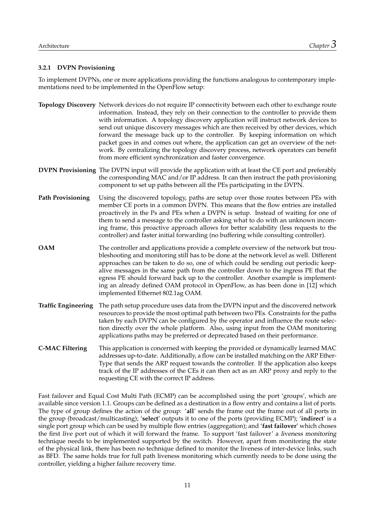#### **3.2.1 [DVPN](#page-24-2) Provisioning**

To implement [DVPNs](#page-24-2), one or more applications providing the functions analogous to contemporary implementations need to be implemented in the OpenFlow setup:

- **Topology Discovery** Network devices do not require [IP](#page-24-14) connectivity between each other to exchange route information. Instead, they rely on their connection to the controller to provide them with information. A topology discovery application will instruct network devices to send out unique discovery messages which are then received by other devices, which forward the message back up to the controller. By keeping information on which packet goes in and comes out where, the application can get an overview of the network. By centralizing the topology discovery process, network operators can benefit from more efficient synchronization and faster convergence.
- **[DVPN](#page-24-2) Provisioning** The [DVPN](#page-24-2) input will provide the application with at least the [CE](#page-24-16) port and preferably the corresponding [MAC](#page-24-19) and/or [IP](#page-24-14) address. It can then instruct the path provisioning component to set up paths between all the [PEs](#page-24-9) participating in the [DVPN.](#page-24-2)
- **Path Provisioning** Using the discovered topology, paths are setup over those routes between [PEs](#page-24-9) with member [CE](#page-24-16) ports in a common [DVPN.](#page-24-2) This means that the flow entries are installed proactively in the [Ps](#page-24-21) and [PEs](#page-24-9) when a [DVPN](#page-24-2) is setup. Instead of waiting for one of them to send a message to the controller asking what to do with an unknown incoming frame, this proactive approach allows for better scalability (less requests to the controller) and faster initial forwarding (no buffering while consulting controller).
- **[OAM](#page-24-25)** The controller and applications provide a complete overview of the network but troubleshooting and monitoring still has to be done at the network level as well. Different approaches can be taken to do so, one of which could be sending out periodic keepalive messages in the same path from the controller down to the ingress [PE](#page-24-9) that the egress [PE](#page-24-9) should forward back up to the controller. Another example is implementing an already defined [OAM](#page-24-25) protocol in OpenFlow, as has been done in [\[12\]](#page-25-12) which implemented Ethernet 802.1ag [OAM.](#page-24-25)
- **Traffic Engineering** The path setup procedure uses data from the [DVPN](#page-24-2) input and the discovered network resources to provide the most optimal path between two [PEs](#page-24-9). Constraints for the paths taken by each [DVPN](#page-24-2) can be configured by the operator and influence the route selection directly over the whole platform. Also, using input from the [OAM](#page-24-25) monitoring applications paths may be preferred or deprecated based on their performance.
- **[C-MAC](#page-24-20) Filtering** This application is concerned with keeping the provided or dynamically learned [MAC](#page-24-19) addresses up-to-date. Additionally, a flow can be installed matching on the [ARP](#page-24-8) Ether-Type that sends the [ARP](#page-24-8) request towards the controller. If the application also keeps track of the [IP](#page-24-14) addresses of the [CEs](#page-24-16) it can then act as an [ARP](#page-24-8) proxy and reply to the requesting [CE](#page-24-16) with the correct [IP](#page-24-14) address.

Fast failover and Equal Cost Multi Path [\(ECMP\)](#page-24-40) can be accomplished using the port 'groups', which are available since version 1.1. Groups can be defined as a destination in a flow entry and contains a list of ports. The type of group defines the action of the group: '**all**' sends the frame out the frame out of all ports in the group (broadcast/multicasting); '**select**' outputs it to one of the ports (providing [ECMP\)](#page-24-40); '**indirect**' is a single port group which can be used by multiple flow entries (aggregation); and '**fast failover**' which choses the first live port out of which it will forward the frame. To support 'fast failover' a liveness monitoring technique needs to be implemented supported by the switch. However, apart from monitoring the state of the physical link, there has been no technique defined to monitor the liveness of inter-device links, such as [BFD.](#page-24-35) The same holds true for full path liveness monitoring which currently needs to be done using the controller, yielding a higher failure recovery time.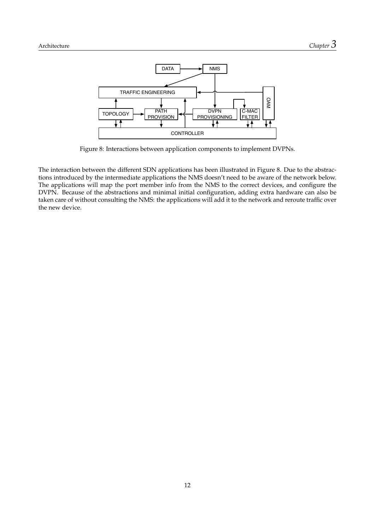<span id="page-15-0"></span>

Figure 8: Interactions between application components to implement [DVPNs](#page-24-2).

The interaction between the different [SDN](#page-24-3) applications has been illustrated in Figure [8.](#page-15-0) Due to the abstractions introduced by the intermediate applications the [NMS](#page-24-0) doesn't need to be aware of the network below. The applications will map the port member info from the [NMS](#page-24-0) to the correct devices, and configure the [DVPN.](#page-24-2) Because of the abstractions and minimal initial configuration, adding extra hardware can also be taken care of without consulting the [NMS:](#page-24-0) the applications will add it to the network and reroute traffic over the new device.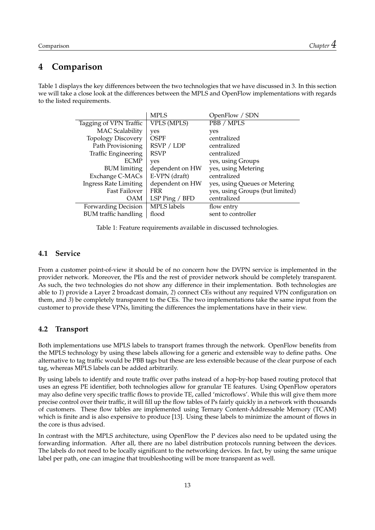### <span id="page-16-0"></span>**4 Comparison**

<span id="page-16-3"></span>Table [1](#page-16-3) displays the key differences between the two technologies that we have discussed in [3.](#page-10-0) In this section we will take a close look at the differences between the [MPLS](#page-24-4) and OpenFlow implementations with regards to the listed requirements.

|                              | <b>MPLS</b>        | OpenFlow / SDN                  |
|------------------------------|--------------------|---------------------------------|
| Tagging of VPN Traffic       | <b>VPLS (MPLS)</b> | PBB / MPLS                      |
| <b>MAC</b> Scalability       | yes                | yes                             |
| <b>Topology Discovery</b>    | <b>OSPF</b>        | centralized                     |
| Path Provisioning            | RSVP / LDP         | centralized                     |
| <b>Traffic Engineering</b>   | <b>RSVP</b>        | centralized                     |
| <b>ECMP</b>                  | yes                | yes, using Groups               |
| <b>BUM</b> limiting          | dependent on HW    | yes, using Metering             |
| Exchange C-MACs              | E-VPN (draft)      | centralized                     |
| <b>Ingress Rate Limiting</b> | dependent on HW    | yes, using Queues or Metering   |
| Fast Failover                | <b>FRR</b>         | yes, using Groups (but limited) |
| OAM                          | LSP Ping / BFD     | centralized                     |
| Forwarding Decision          | <b>MPLS</b> labels | flow entry                      |
| <b>BUM</b> traffic handling  | flood              | sent to controller              |

Table 1: Feature requirements available in discussed technologies.

#### <span id="page-16-1"></span>**4.1 Service**

From a customer point-of-view it should be of no concern how the [DVPN](#page-24-2) service is implemented in the provider network. Moreover, the [PEs](#page-24-9) and the rest of provider network should be completely transparent. As such, the two technologies do not show any difference in their implementation. Both technologies are able to *1*) provide a Layer 2 broadcast domain, *2*) connect [CEs](#page-24-16) without any required [VPN](#page-24-1) configuration on them, and *3*) be completely transparent to the [CEs](#page-24-16). The two implementations take the same input from the customer to provide these [VPNs](#page-24-1), limiting the differences the implementations have in their view.

#### <span id="page-16-2"></span>**4.2 Transport**

Both implementations use [MPLS](#page-24-4) labels to transport frames through the network. OpenFlow benefits from the [MPLS](#page-24-4) technology by using these labels allowing for a generic and extensible way to define paths. One alternative to tag traffic would be [PBB](#page-24-39) tags but these are less extensible because of the clear purpose of each tag, whereas [MPLS](#page-24-4) labels can be added arbitrarily.

By using labels to identify and route traffic over paths instead of a hop-by-hop based routing protocol that uses an egress [PE](#page-24-9) identifier, both technologies allow for granular [TE](#page-24-26) features. Using OpenFlow operators may also define very specific traffic flows to provide [TE,](#page-24-26) called 'microflows'. While this will give them more precise control over their traffic, it will fill up the flow tables of [Ps](#page-24-21) fairly quickly in a network with thousands of customers. These flow tables are implemented using Ternary Content-Addressable Memory [\(TCAM\)](#page-24-42) which is finite and is also expensive to produce [\[13\]](#page-25-13). Using these labels to minimize the amount of flows in the core is thus advised.

In contrast with the [MPLS](#page-24-4) architecture, using OpenFlow the [P](#page-24-21) devices also need to be updated using the forwarding information. After all, there are no label distribution protocols running between the devices. The labels do not need to be locally significant to the networking devices. In fact, by using the same unique label per path, one can imagine that troubleshooting will be more transparent as well.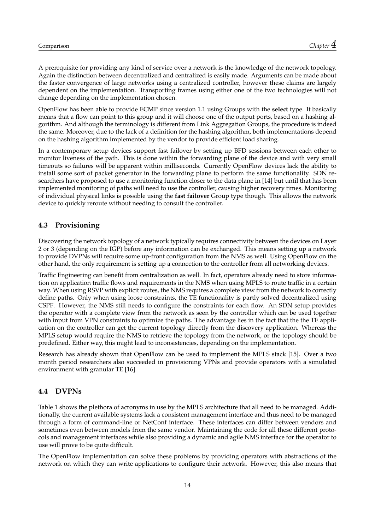A prerequisite for providing any kind of service over a network is the knowledge of the network topology. Again the distinction between decentralized and centralized is easily made. Arguments can be made about the faster convergence of large networks using a centralized controller, however these claims are largely dependent on the implementation. Transporting frames using either one of the two technologies will not change depending on the implementation chosen.

OpenFlow has been able to provide [ECMP](#page-24-40) since version 1.1 using Groups with the **select** type. It basically means that a flow can point to this group and it will choose one of the output ports, based on a hashing algorithm. And although the terminology is different from Link Aggregation Groups, the procedure is indeed the same. Moreover, due to the lack of a definition for the hashing algorithm, both implementations depend on the hashing algorithm implemented by the vendor to provide efficient load sharing.

In a contemporary setup devices support fast failover by setting up [BFD](#page-24-35) sessions between each other to monitor liveness of the path. This is done within the forwarding plane of the device and with very small timeouts so failures will be apparent within milliseconds. Currently OpenFlow devices lack the ability to install some sort of packet generator in the forwarding plane to perform the same functionality. [SDN](#page-24-3) researchers have proposed to use a monitoring function closer to the data plane in [\[14\]](#page-25-14) but until that has been implemented monitoring of paths will need to use the controller, causing higher recovery times. Monitoring of individual physical links is possible using the **fast failover** Group type though. This allows the network device to quickly reroute without needing to consult the controller.

#### <span id="page-17-0"></span>**4.3 Provisioning**

Discovering the network topology of a network typically requires connectivity between the devices on Layer 2 or 3 (depending on the [IGP\)](#page-24-28) before any information can be exchanged. This means setting up a network to provide [DVPNs](#page-24-2) will require some up-front configuration from the [NMS](#page-24-0) as well. Using OpenFlow on the other hand, the only requirement is setting up a connection to the controller from all networking devices.

Traffic Engineering can benefit from centralization as well. In fact, operators already need to store information on application traffic flows and requirements in the [NMS](#page-24-0) when using [MPLS](#page-24-4) to route traffic in a certain way. When using [RSVP](#page-24-31) with explicit routes, the [NMS](#page-24-0) requires a complete view from the network to correctly define paths. Only when using loose constraints, the [TE](#page-24-26) functionality is partly solved decentralized using [CSPF.](#page-24-33) However, the [NMS](#page-24-0) still needs to configure the constraints for each flow. An [SDN](#page-24-3) setup provides the operator with a complete view from the network as seen by the controller which can be used together with input from [VPN](#page-24-1) constraints to optimize the paths. The advantage lies in the fact that the the [TE](#page-24-26) application on the controller can get the current topology directly from the discovery application. Whereas the [MPLS](#page-24-4) setup would require the [NMS](#page-24-0) to retrieve the topology from the network, or the topology should be predefined. Either way, this might lead to inconsistencies, depending on the implementation.

Research has already shown that OpenFlow can be used to implement the [MPLS](#page-24-4) stack [\[15\]](#page-25-15). Over a two month period researchers also succeeded in provisioning [VPNs](#page-24-1) and provide operators with a simulated environment with granular [TE](#page-24-26) [\[16\]](#page-25-16).

#### <span id="page-17-1"></span>**4.4 [DVPNs](#page-24-2)**

Table [1](#page-16-3) shows the plethora of acronyms in use by the [MPLS](#page-24-4) architecture that all need to be managed. Additionally, the current available systems lack a consistent management interface and thus need to be managed through a form of command-line or NetConf interface. These interfaces can differ between vendors and sometimes even between models from the same vendor. Maintaining the code for all these different protocols and management interfaces while also providing a dynamic and agile [NMS](#page-24-0) interface for the operator to use will prove to be quite difficult.

The OpenFlow implementation can solve these problems by providing operators with abstractions of the network on which they can write applications to configure their network. However, this also means that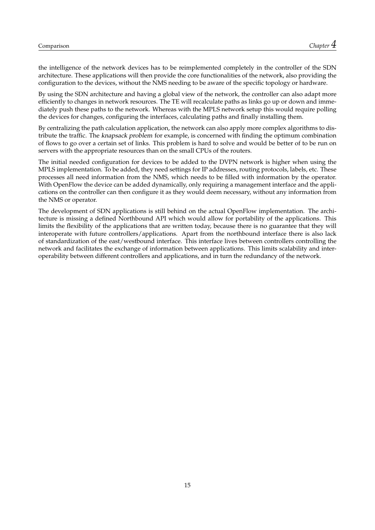the intelligence of the network devices has to be reimplemented completely in the controller of the [SDN](#page-24-3) architecture. These applications will then provide the core functionalities of the network, also providing the configuration to the devices, without the [NMS](#page-24-0) needing to be aware of the specific topology or hardware.

By using the [SDN](#page-24-3) architecture and having a global view of the network, the controller can also adapt more efficiently to changes in network resources. The [TE](#page-24-26) will recalculate paths as links go up or down and immediately push these paths to the network. Whereas with the [MPLS](#page-24-4) network setup this would require polling the devices for changes, configuring the interfaces, calculating paths and finally installing them.

By centralizing the path calculation application, the network can also apply more complex algorithms to distribute the traffic. The knapsack problem for example, is concerned with finding the optimum combination of flows to go over a certain set of links. This problem is hard to solve and would be better of to be run on servers with the appropriate resources than on the small CPUs of the routers.

The initial needed configuration for devices to be added to the [DVPN](#page-24-2) network is higher when using the [MPLS](#page-24-4) implementation. To be added, they need settings for [IP](#page-24-14) addresses, routing protocols, labels, etc. These processes all need information from the [NMS,](#page-24-0) which needs to be filled with information by the operator. With OpenFlow the device can be added dynamically, only requiring a management interface and the applications on the controller can then configure it as they would deem necessary, without any information from the [NMS](#page-24-0) or operator.

The development of [SDN](#page-24-3) applications is still behind on the actual OpenFlow implementation. The architecture is missing a defined Northbound [API](#page-24-10) which would allow for portability of the applications. This limits the flexibility of the applications that are written today, because there is no guarantee that they will interoperate with future controllers/applications. Apart from the northbound interface there is also lack of standardization of the east/westbound interface. This interface lives between controllers controlling the network and facilitates the exchange of information between applications. This limits scalability and interoperability between different controllers and applications, and in turn the redundancy of the network.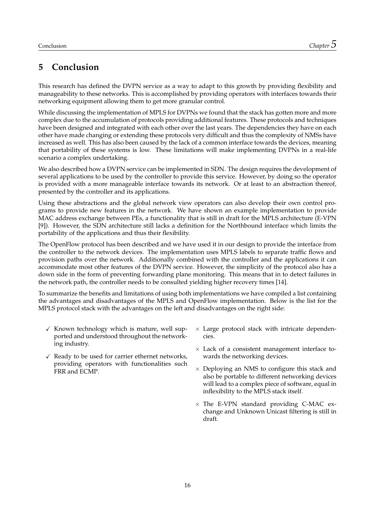## <span id="page-19-0"></span>**5 Conclusion**

This research has defined the [DVPN](#page-24-2) service as a way to adapt to this growth by providing flexibility and manageability to these networks. This is accomplished by providing operators with interfaces towards their networking equipment allowing them to get more granular control.

While discussing the implementation of [MPLS](#page-24-4) for [DVPNs](#page-24-2) we found that the stack has gotten more and more complex due to the accumulation of protocols providing additional features. These protocols and techniques have been designed and integrated with each other over the last years. The dependencies they have on each other have made changing or extending these protocols very difficult and thus the complexity of [NMSs](#page-24-0) have increased as well. This has also been caused by the lack of a common interface towards the devices, meaning that portability of these systems is low. These limitations will make implementing [DVPNs](#page-24-2) in a real-life scenario a complex undertaking.

We also described how a [DVPN](#page-24-2) service can be implemented in [SDN.](#page-24-3) The design requires the development of several applications to be used by the controller to provide this service. However, by doing so the operator is provided with a more manageable interface towards its network. Or at least to an abstraction thereof, presented by the controller and its applications.

Using these abstractions and the global network view operators can also develop their own control programs to provide new features in the network. We have shown an example implementation to provide [MAC](#page-24-19) address exchange between [PEs](#page-24-9), a functionality that is still in draft for the [MPLS](#page-24-4) architecture [\(E-VPN](#page-24-37) [\[9\]](#page-25-9)). However, the [SDN](#page-24-3) architecture still lacks a definition for the Northbound interface which limits the portability of the applications and thus their flexibility.

The OpenFlow protocol has been described and we have used it in our design to provide the interface from the controller to the network devices. The implementation uses [MPLS](#page-24-4) labels to separate traffic flows and provision paths over the network. Additionally combined with the controller and the applications it can accommodate most other features of the [DVPN](#page-24-2) service. However, the simplicity of the protocol also has a down side in the form of preventing forwarding plane monitoring. This means that in to detect failures in the network path, the controller needs to be consulted yielding higher recovery times [\[14\]](#page-25-14).

To summarize the benefits and limitations of using both implementations we have compiled a list containing the advantages and disadvantages of the [MPLS](#page-24-4) and OpenFlow implementation. Below is the list for the [MPLS](#page-24-4) protocol stack with the advantages on the left and disadvantages on the right side:

- $\checkmark$  Known technology which is mature, well supported and understood throughout the networking industry.
- $\checkmark$  Ready to be used for carrier ethernet networks, providing operators with functionalities such [FRR](#page-24-34) and [ECMP.](#page-24-40)
- $\times$  Large protocol stack with intricate dependencies.
- $\times$  Lack of a consistent management interface towards the networking devices.
- $\times$  Deploying an [NMS](#page-24-0) to configure this stack and also be portable to different networking devices will lead to a complex piece of software, equal in inflexibility to the [MPLS](#page-24-4) stack itself.
- $\times$  The [E-VPN](#page-24-37) standard providing [C-MAC](#page-24-20) exchange and Unknown Unicast filtering is still in draft.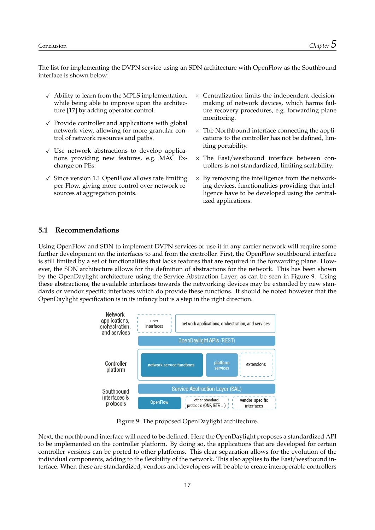The list for implementing the [DVPN](#page-24-2) service using an [SDN](#page-24-3) architecture with OpenFlow as the Southbound interface is shown below:

- $\checkmark$  Ability to learn from the [MPLS](#page-24-4) implementation, while being able to improve upon the architecture [\[17\]](#page-25-17) by adding operator control.
- $\sqrt{\ }$  Provide controller and applications with global network view, allowing for more granular control of network resources and paths.
- $\checkmark$  Use network abstractions to develop applications providing new features, e.g. [MAC](#page-24-19) Exchange on [PEs](#page-24-9).
- $\sqrt{\ }$  Since version 1.1 OpenFlow allows rate limiting per Flow, giving more control over network resources at aggregation points.
- $\times$  Centralization limits the independent decisionmaking of network devices, which harms failure recovery procedures, e.g. forwarding plane monitoring.
- $\times$  The Northbound interface connecting the applications to the controller has not be defined, limiting portability.
- $\times$  The East/westbound interface between controllers is not standardized, limiting scalability.
- $\times$  By removing the intelligence from the networking devices, functionalities providing that intelligence have to be developed using the centralized applications.

#### <span id="page-20-0"></span>**5.1 Recommendations**

Using OpenFlow and [SDN](#page-24-3) to implement [DVPN](#page-24-2) services or use it in any carrier network will require some further development on the interfaces to and from the controller. First, the OpenFlow southbound interface is still limited by a set of functionalities that lacks features that are required in the forwarding plane. However, the [SDN](#page-24-3) architecture allows for the definition of abstractions for the network. This has been shown by the OpenDaylight architecture using the Service Abstraction Layer, as can be seen in Figure [9.](#page-20-1) Using these abstractions, the available interfaces towards the networking devices may be extended by new standards or vendor specific interfaces which do provide these functions. It should be noted however that the OpenDaylight specification is in its infancy but is a step in the right direction.

<span id="page-20-1"></span>

Figure 9: The proposed OpenDaylight architecture.

Next, the northbound interface will need to be defined. Here the OpenDaylight proposes a standardized [API](#page-24-10) to be implemented on the controller platform. By doing so, the applications that are developed for certain controller versions can be ported to other platforms. This clear separation allows for the evolution of the individual components, adding to the flexibility of the network. This also applies to the East/westbound interface. When these are standardized, vendors and developers will be able to create interoperable controllers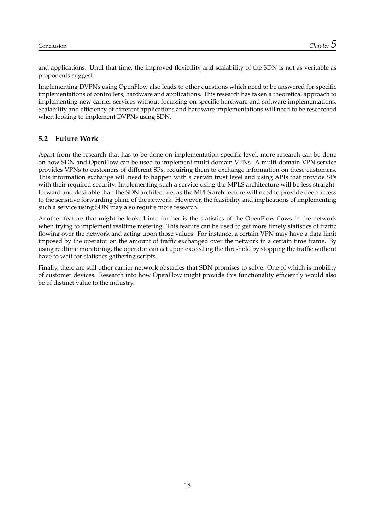and applications. Until that time, the improved flexibility and scalability of the [SDN](#page-24-3) is not as veritable as proponents suggest.

Implementing [DVPNs](#page-24-2) using OpenFlow also leads to other questions which need to be answered for specific implementations of controllers, hardware and applications. This research has taken a theoretical approach to implementing new carrier services without focussing on specific hardware and software implementations. Scalability and efficiency of different applications and hardware implementations will need to be researched when looking to implement [DVPNs](#page-24-2) using [SDN.](#page-24-3)

#### <span id="page-21-0"></span>**5.2 Future Work**

Apart from the research that has to be done on implementation-specific level, more research can be done on how [SDN](#page-24-3) and OpenFlow can be used to implement multi-domain [VPNs](#page-24-1). A multi-domain [VPN](#page-24-1) service provides [VPNs](#page-24-1) to customers of different [SPs](#page-24-11), requiring them to exchange information on these customers. This information exchange will need to happen with a certain trust level and using [APIs](#page-24-10) that provide [SPs](#page-24-11) with their required security. Implementing such a service using the [MPLS](#page-24-4) architecture will be less straightforward and desirable than the [SDN](#page-24-3) architecture, as the [MPLS](#page-24-4) architecture will need to provide deep access to the sensitive forwarding plane of the network. However, the feasibility and implications of implementing such a service using [SDN](#page-24-3) may also require more research.

Another feature that might be looked into further is the statistics of the OpenFlow flows in the network when trying to implement realtime metering. This feature can be used to get more timely statistics of traffic flowing over the network and acting upon those values. For instance, a certain [VPN](#page-24-1) may have a data limit imposed by the operator on the amount of traffic exchanged over the network in a certain time frame. By using realtime monitoring, the operator can act upon exceeding the threshold by stopping the traffic without have to wait for statistics gathering scripts.

Finally, there are still other carrier network obstacles that [SDN](#page-24-3) promises to solve. One of which is mobility of customer devices. Research into how OpenFlow might provide this functionality efficiently would also be of distinct value to the industry.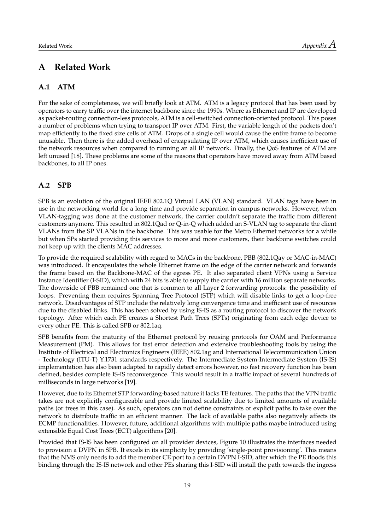### <span id="page-22-0"></span>**A Related Work**

#### <span id="page-22-1"></span>**A.1 [ATM](#page-24-5)**

For the sake of completeness, we will briefly look at [ATM.](#page-24-5) [ATM](#page-24-5) is a legacy protocol that has been used by operators to carry traffic over the internet backbone since the 1990s. Where as Ethernet and [IP](#page-24-14) are developed as packet-routing connection-less protocols, [ATM](#page-24-5) is a cell-switched connection-oriented protocol. This poses a number of problems when trying to transport [IP](#page-24-14) over [ATM.](#page-24-5) First, the variable length of the packets don't map efficiently to the fixed size cells of [ATM.](#page-24-5) Drops of a single cell would cause the entire frame to become unusable. Then there is the added overhead of encapsulating [IP](#page-24-14) over [ATM,](#page-24-5) which causes inefficient use of the network resources when compared to running an all [IP](#page-24-14) network. Finally, the [QoS](#page-24-27) features of [ATM](#page-24-5) are left unused [\[18\]](#page-26-0). These problems are some of the reasons that operators have moved away from [ATM](#page-24-5) based backbones, to all [IP](#page-24-14) ones.

#### <span id="page-22-2"></span>**A.2 [SPB](#page-24-6)**

[SPB](#page-24-6) is an evolution of the original [IEEE](#page-24-43) 802.1Q Virtual [LAN](#page-24-17) [\(VLAN\)](#page-24-38) standard. [VLAN](#page-24-38) tags have been in use in the networking world for a long time and provide separation in campus networks. However, when [VLAN-](#page-24-38)tagging was done at the customer network, the carrier couldn't separate the traffic from different customers anymore. This resulted in 802.1Qad or Q-in-Q which added an S[-VLAN](#page-24-38) tag to separate the client [VLANs](#page-24-38) from the [SP](#page-24-11) [VLANs](#page-24-38) in the backbone. This was usable for the Metro Ethernet networks for a while but when [SPs](#page-24-11) started providing this services to more and more customers, their backbone switches could not keep up with the clients [MAC](#page-24-19) addresses.

To provide the required scalability with regard to [MACs](#page-24-19) in the backbone, [PBB](#page-24-39) (802.1Qay or [MAC-](#page-24-19)in[-MAC\)](#page-24-19) was introduced. It encapsulates the whole Ethernet frame on the edge of the carrier network and forwards the frame based on the Backbone[-MAC](#page-24-19) of the egress [PE.](#page-24-9) It also separated client [VPNs](#page-24-1) using a Service Instance Identifier [\(I-SID\)](#page-24-44), which with 24 bits is able to supply the carrier with 16 million separate networks. The downside of [PBB](#page-24-39) remained one that is common to all Layer 2 forwarding protocols: the possibility of loops. Preventing them requires Spanning Tree Protocol [\(STP\)](#page-24-45) which will disable links to get a loop-free network. Disadvantages of [STP](#page-24-45) include the relatively long convergence time and inefficient use of resources due to the disabled links. This has been solved by using [IS-IS](#page-24-46) as a routing protocol to discover the network topology. After which each [PE](#page-24-9) creates a Shortest Path Trees [\(SPTs](#page-24-47)) originating from each edge device to every other [PE.](#page-24-9) This is called [SPB](#page-24-6) or 802.1aq.

[SPB](#page-24-6) benefits from the maturity of the Ethernet protocol by reusing protocols for [OAM](#page-24-25) and Performance Measurement [\(PM\)](#page-24-48). This allows for fast error detection and extensive troubleshooting tools by using the Institute of Electrical and Electronics Engineers [\(IEEE\)](#page-24-43) 802.1ag and International Telecommunication Union - Technology [\(ITU-T\)](#page-24-49) Y.1731 standards respectively. The Intermediate System-Intermediate System [\(IS-IS\)](#page-24-46) implementation has also been adapted to rapidly detect errors however, no fast recovery function has been defined, besides complete [IS-IS](#page-24-46) reconvergence. This would result in a traffic impact of several hundreds of milliseconds in large networks [\[19\]](#page-26-1).

However, due to its Ethernet [STP](#page-24-45) forwarding-based nature it lacks [TE](#page-24-26) features. The paths that the [VPN](#page-24-1) traffic takes are not explicitly configureable and provide limited scalability due to limited amounts of available paths (or trees in this case). As such, operators can not define constraints or explicit paths to take over the network to distribute traffic in an efficient manner. The lack of available paths also negatively affects its [ECMP](#page-24-40) functionalities. However, future, additional algorithms with multiple paths maybe introduced using extensible Equal Cost Trees [\(ECT\)](#page-24-50) algorithms [\[20\]](#page-26-2).

Provided that [IS-IS](#page-24-46) has been configured on all provider devices, Figure [10](#page-23-0) illustrates the interfaces needed to provision a [DVPN](#page-24-2) in [SPB.](#page-24-6) It excels in its simplicity by providing 'single-point provisioning'. This means that the [NMS](#page-24-0) only needs to add the member [CE](#page-24-16) port to a certain [DVPN](#page-24-2) [I-SID,](#page-24-44) after which the [PE](#page-24-9) floods this binding through the [IS-IS](#page-24-46) network and other [PEs](#page-24-9) sharing this [I-SID](#page-24-44) will install the path towards the ingress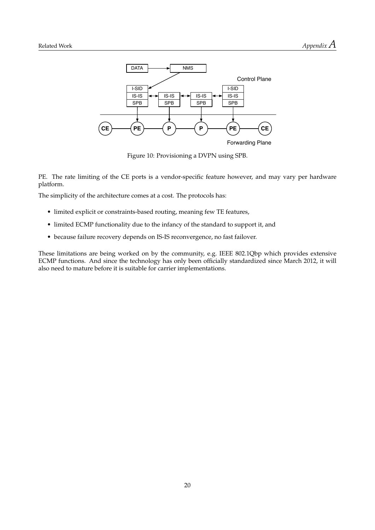<span id="page-23-0"></span>

Figure 10: Provisioning a [DVPN](#page-24-2) using [SPB.](#page-24-6)

[PE.](#page-24-9) The rate limiting of the [CE](#page-24-16) ports is a vendor-specific feature however, and may vary per hardware platform.

The simplicity of the architecture comes at a cost. The protocols has:

- limited explicit or constraints-based routing, meaning few [TE](#page-24-26) features,
- limited [ECMP](#page-24-40) functionality due to the infancy of the standard to support it, and
- because failure recovery depends on [IS-IS](#page-24-46) reconvergence, no fast failover.

These limitations are being worked on by the community, e.g. IEEE 802.1Qbp which provides extensive [ECMP](#page-24-40) functions. And since the technology has only been officially standardized since March 2012, it will also need to mature before it is suitable for carrier implementations.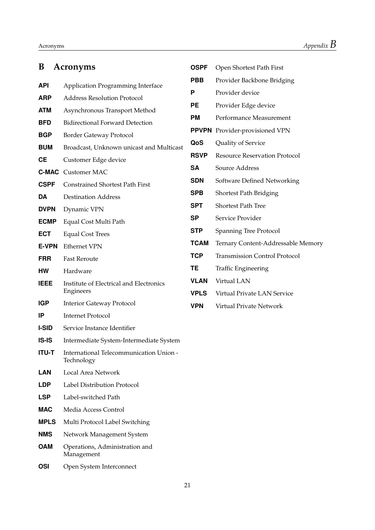<span id="page-24-50"></span><span id="page-24-49"></span><span id="page-24-46"></span><span id="page-24-44"></span><span id="page-24-43"></span><span id="page-24-41"></span><span id="page-24-40"></span><span id="page-24-37"></span><span id="page-24-36"></span><span id="page-24-35"></span><span id="page-24-34"></span><span id="page-24-33"></span><span id="page-24-32"></span><span id="page-24-30"></span><span id="page-24-28"></span><span id="page-24-25"></span><span id="page-24-24"></span><span id="page-24-23"></span><span id="page-24-20"></span><span id="page-24-19"></span><span id="page-24-17"></span><span id="page-24-16"></span><span id="page-24-14"></span><span id="page-24-12"></span><span id="page-24-10"></span><span id="page-24-8"></span><span id="page-24-7"></span><span id="page-24-5"></span><span id="page-24-4"></span><span id="page-24-2"></span><span id="page-24-0"></span>

| B            | <b>Acronyms</b>                                       |
|--------------|-------------------------------------------------------|
| <b>API</b>   | Application Programming Interface                     |
| ARP          | <b>Address Resolution Protocol</b>                    |
| <b>ATM</b>   | Asynchronous Transport Method                         |
| <b>BFD</b>   | <b>Bidirectional Forward Detection</b>                |
| <b>BGP</b>   | <b>Border Gateway Protocol</b>                        |
| <b>BUM</b>   | Broadcast, Unknown unicast and Multicast              |
| <b>CE</b>    | Customer Edge device                                  |
|              | <b>C-MAC</b> Customer MAC                             |
| <b>CSPF</b>  | <b>Constrained Shortest Path First</b>                |
| DA           | <b>Destination Address</b>                            |
| <b>DVPN</b>  | Dynamic VPN                                           |
| <b>ECMP</b>  | Equal Cost Multi Path                                 |
| <b>ECT</b>   | <b>Equal Cost Trees</b>                               |
| <b>E-VPN</b> | <b>Ethernet VPN</b>                                   |
| <b>FRR</b>   | <b>Fast Reroute</b>                                   |
| нw           | Hardware                                              |
| <b>IEEE</b>  | Institute of Electrical and Electronics<br>Engineers  |
| <b>IGP</b>   | <b>Interior Gateway Protocol</b>                      |
| IP           | Internet Protocol                                     |
| <b>I-SID</b> | Service Instance Identifier                           |
| <b>IS-IS</b> | Intermediate System-Intermediate System               |
| <b>ITU-T</b> | International Telecommunication Union -<br>Technology |
| LAN          | Local Area Network                                    |
| <b>LDP</b>   | Label Distribution Protocol                           |
| <b>LSP</b>   | Label-switched Path                                   |
| <b>MAC</b>   | Media Access Control                                  |
| <b>MPLS</b>  | Multi Protocol Label Switching                        |
| NMS          | Network Management System                             |
| <b>OAM</b>   | Operations, Administration and<br>Management          |
| OSI          | Open System Interconnect                              |

<span id="page-24-48"></span><span id="page-24-47"></span><span id="page-24-45"></span><span id="page-24-42"></span><span id="page-24-39"></span><span id="page-24-38"></span><span id="page-24-31"></span><span id="page-24-29"></span><span id="page-24-27"></span><span id="page-24-26"></span><span id="page-24-22"></span><span id="page-24-21"></span><span id="page-24-18"></span><span id="page-24-15"></span><span id="page-24-13"></span><span id="page-24-11"></span><span id="page-24-9"></span><span id="page-24-6"></span><span id="page-24-3"></span><span id="page-24-1"></span>

| OSPF         | Open Shortest Path First             |
|--------------|--------------------------------------|
| PBB          | Provider Backbone Bridging           |
| P            | Provider device                      |
| PЕ           | Provider Edge device                 |
| PМ           | Performance Measurement              |
| <b>PPVPN</b> | Provider-provisioned VPN             |
| QoS          | Quality of Service                   |
| <b>RSVP</b>  | <b>Resource Reservation Protocol</b> |
| <b>SA</b>    | Source Address                       |
| <b>SDN</b>   | Software Defined Networking          |
| SPB          | Shortest Path Bridging               |
| SPT          | <b>Shortest Path Tree</b>            |
| SP           | Service Provider                     |
| <b>STP</b>   | <b>Spanning Tree Protocol</b>        |
| TCAM         | Ternary Content-Addressable Memory   |
| <b>TCP</b>   | <b>Transmission Control Protocol</b> |
| TE           | <b>Traffic Engineering</b>           |
| VLAN         | Virtual LAN                          |
| <b>VPLS</b>  | Virtual Private LAN Service          |
| VPN          | Virtual Private Network              |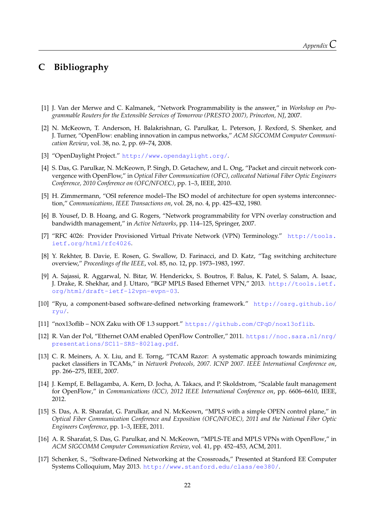## <span id="page-25-0"></span>**C Bibliography**

- <span id="page-25-1"></span>[1] J. Van der Merwe and C. Kalmanek, "Network Programmability is the answer," in *Workshop on Programmable Routers for the Extensible Services of Tomorrow (PRESTO 2007), Princeton, NJ*, 2007.
- <span id="page-25-2"></span>[2] N. McKeown, T. Anderson, H. Balakrishnan, G. Parulkar, L. Peterson, J. Rexford, S. Shenker, and J. Turner, "OpenFlow: enabling innovation in campus networks," *ACM SIGCOMM Computer Communication Review*, vol. 38, no. 2, pp. 69–74, 2008.
- <span id="page-25-3"></span>[3] "OpenDaylight Project." <http://www.opendaylight.org/>.
- <span id="page-25-4"></span>[4] S. Das, G. Parulkar, N. McKeown, P. Singh, D. Getachew, and L. Ong, "Packet and circuit network convergence with OpenFlow," in *Optical Fiber Communication (OFC), collocated National Fiber Optic Engineers Conference, 2010 Conference on (OFC/NFOEC)*, pp. 1–3, IEEE, 2010.
- <span id="page-25-5"></span>[5] H. Zimmermann, "OSI reference model–The ISO model of architecture for open systems interconnection," *Communications, IEEE Transactions on*, vol. 28, no. 4, pp. 425–432, 1980.
- <span id="page-25-6"></span>[6] B. Yousef, D. B. Hoang, and G. Rogers, "Network programmability for VPN overlay construction and bandwidth management," in *Active Networks*, pp. 114–125, Springer, 2007.
- <span id="page-25-7"></span>[7] "RFC 4026: Provider Provisioned Virtual Private Network (VPN) Terminology." [http://tools.](http://tools.ietf.org/html/rfc4026) [ietf.org/html/rfc4026](http://tools.ietf.org/html/rfc4026).
- <span id="page-25-8"></span>[8] Y. Rekhter, B. Davie, E. Rosen, G. Swallow, D. Farinacci, and D. Katz, "Tag switching architecture overview," *Proceedings of the IEEE*, vol. 85, no. 12, pp. 1973–1983, 1997.
- <span id="page-25-9"></span>[9] A. Sajassi, R. Aggarwal, N. Bitar, W. Henderickx, S. Boutros, F. Balus, K. Patel, S. Salam, A. Isaac, J. Drake, R. Shekhar, and J. Uttaro, "BGP MPLS Based Ethernet VPN," 2013. [http://tools.ietf.](http://tools.ietf.org/html/draft-ietf-l2vpn-evpn-03) [org/html/draft-ietf-l2vpn-evpn-03](http://tools.ietf.org/html/draft-ietf-l2vpn-evpn-03).
- <span id="page-25-10"></span>[10] "Ryu, a component-based software-defined networking framework." [http://osrg.github.io/](http://osrg.github.io/ryu/) [ryu/](http://osrg.github.io/ryu/).
- <span id="page-25-11"></span>[11] "nox13oflib – NOX Zaku with OF 1.3 support." <https://github.com/CPqD/nox13oflib>.
- <span id="page-25-12"></span>[12] R. Van der Pol, "Ethernet OAM enabled OpenFlow Controller," 2011. [https://noc.sara.nl/nrg/](https://noc.sara.nl/nrg/presentations/SC11-SRS-8021ag.pdf) [presentations/SC11-SRS-8021ag.pdf](https://noc.sara.nl/nrg/presentations/SC11-SRS-8021ag.pdf).
- <span id="page-25-13"></span>[13] C. R. Meiners, A. X. Liu, and E. Torng, "TCAM Razor: A systematic approach towards minimizing packet classifiers in TCAMs," in *Network Protocols, 2007. ICNP 2007. IEEE International Conference on*, pp. 266–275, IEEE, 2007.
- <span id="page-25-14"></span>[14] J. Kempf, E. Bellagamba, A. Kern, D. Jocha, A. Takacs, and P. Skoldstrom, "Scalable fault management for OpenFlow," in *Communications (ICC), 2012 IEEE International Conference on*, pp. 6606–6610, IEEE, 2012.
- <span id="page-25-15"></span>[15] S. Das, A. R. Sharafat, G. Parulkar, and N. McKeown, "MPLS with a simple OPEN control plane," in *Optical Fiber Communication Conference and Exposition (OFC/NFOEC), 2011 and the National Fiber Optic Engineers Conference*, pp. 1–3, IEEE, 2011.
- <span id="page-25-16"></span>[16] A. R. Sharafat, S. Das, G. Parulkar, and N. McKeown, "MPLS-TE and MPLS VPNs with OpenFlow," in *ACM SIGCOMM Computer Communication Review*, vol. 41, pp. 452–453, ACM, 2011.
- <span id="page-25-17"></span>[17] Schenker, S., "Software-Defined Networking at the Crossroads," Presented at Stanford EE Computer Systems Colloquium, May 2013. <http://www.stanford.edu/class/ee380/>.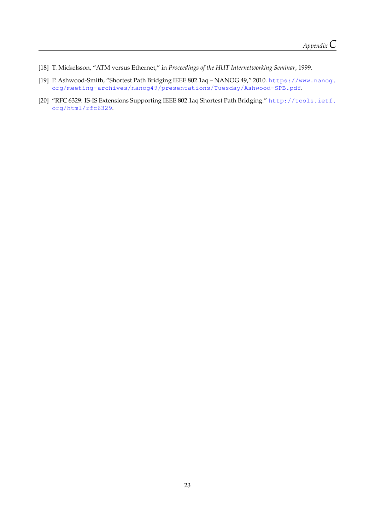- <span id="page-26-0"></span>[18] T. Mickelsson, "ATM versus Ethernet," in *Proceedings of the HUT Internetworking Seminar*, 1999.
- <span id="page-26-1"></span>[19] P. Ashwood-Smith, "Shortest Path Bridging IEEE 802.1aq – NANOG 49," 2010. [https://www.nanog.](https://www.nanog.org/meeting-archives/nanog49/presentations/Tuesday/Ashwood-SPB.pdf) [org/meeting-archives/nanog49/presentations/Tuesday/Ashwood-SPB.pdf](https://www.nanog.org/meeting-archives/nanog49/presentations/Tuesday/Ashwood-SPB.pdf).
- <span id="page-26-2"></span>[20] "RFC 6329: IS-IS Extensions Supporting IEEE 802.1aq Shortest Path Bridging." [http://tools.ietf.](http://tools.ietf.org/html/rfc6329) [org/html/rfc6329](http://tools.ietf.org/html/rfc6329).